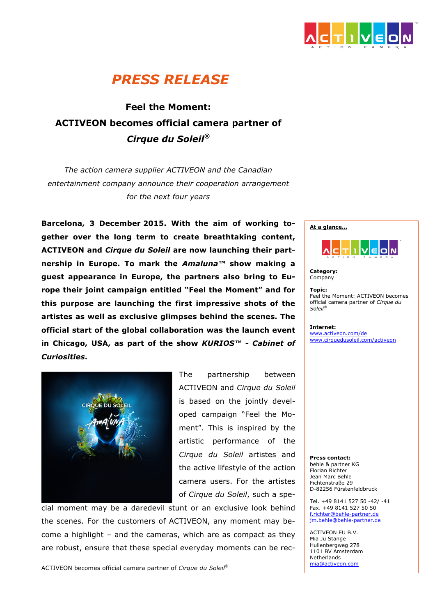

# *PRESS RELEASE*

## **Feel the Moment: ACTIVEON becomes official camera partner of** *Cirque du Soleil®*

*The action camera supplier ACTIVEON and the Canadian entertainment company announce their cooperation arrangement for the next four years*

**Barcelona, 3 December 2015. With the aim of working together over the long term to create breathtaking content, ACTIVEON and** *Cirque du Soleil* **are now launching their partnership in Europe. To mark the** *Amaluna™* **show making a guest appearance in Europe, the partners also bring to Europe their joint campaign entitled "Feel the Moment" and for this purpose are launching the first impressive shots of the artistes as well as exclusive glimpses behind the scenes. The official start of the global collaboration was the launch event in Chicago, USA, as part of the show** *KURIOS™ - Cabinet of Curiosities***.** 



The partnership between ACTIVEON and *Cirque du Soleil*  is based on the jointly developed campaign "Feel the Moment". This is inspired by the artistic performance of the *Cirque du Soleil* artistes and the active lifestyle of the action camera users. For the artistes of *Cirque du Soleil*, such a spe-

cial moment may be a daredevil stunt or an exclusive look behind the scenes. For the customers of ACTIVEON, any moment may become a highlight – and the cameras, which are as compact as they are robust, ensure that these special everyday moments can be rec-

ACTIVEON becomes official camera partner of *Cirque du Soleil®*

**At a glance… i** veloln

**Category:** Company

**Topic:**  Feel the Moment: ACTIVEON becomes official camera partner of *Cirque du Soleil®*

**Internet:** www.activeon.com/de www.cirquedusoleil.com/activeon

**Press contact:** behle & partner KG Florian Richter Jean Marc Behle Fichtenstraße 29 D-82256 Fürstenfeldbruck

Tel. +49 8141 527 50 -42/ -41 Fax. +49 8141 527 50 50 f.richter@behle-partner.de jm.behle@behle-partner.de

ACTIVEON EU B.V. Mia Ju Stange Hullenbergweg 278 1101 BV Amsterdam Netherlands mia@activeon.com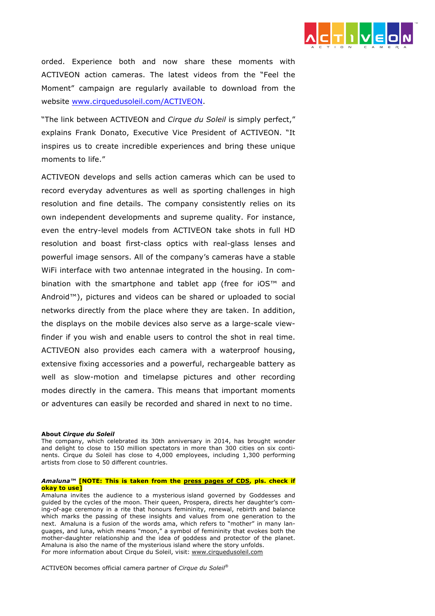

orded. Experience both and now share these moments with ACTIVEON action cameras. The latest videos from the "Feel the Moment" campaign are regularly available to download from the website www.cirquedusoleil.com/ACTIVEON.

"The link between ACTIVEON and *Cirque du Soleil* is simply perfect," explains Frank Donato, Executive Vice President of ACTIVEON. "It inspires us to create incredible experiences and bring these unique moments to life."

ACTIVEON develops and sells action cameras which can be used to record everyday adventures as well as sporting challenges in high resolution and fine details. The company consistently relies on its own independent developments and supreme quality. For instance, even the entry-level models from ACTIVEON take shots in full HD resolution and boast first-class optics with real-glass lenses and powerful image sensors. All of the company's cameras have a stable WiFi interface with two antennae integrated in the housing. In combination with the smartphone and tablet app (free for iOS™ and Android™), pictures and videos can be shared or uploaded to social networks directly from the place where they are taken. In addition, the displays on the mobile devices also serve as a large-scale viewfinder if you wish and enable users to control the shot in real time. ACTIVEON also provides each camera with a waterproof housing, extensive fixing accessories and a powerful, rechargeable battery as well as slow-motion and timelapse pictures and other recording modes directly in the camera. This means that important moments or adventures can easily be recorded and shared in next to no time.

#### **About** *Cirque du Soleil*

The company, which celebrated its 30th anniversary in 2014, has brought wonder and delight to close to 150 million spectators in more than 300 cities on six continents. Cirque du Soleil has close to 4,000 employees, including 1,300 performing artists from close to 50 different countries.

### *Amaluna™* **[NOTE: This is taken from the press pages of CDS, pls. check if okay to use]**

Amaluna invites the audience to a mysterious island governed by Goddesses and guided by the cycles of the moon. Their queen, Prospera, directs her daughter's coming-of-age ceremony in a rite that honours femininity, renewal, rebirth and balance which marks the passing of these insights and values from one generation to the next. Amaluna is a fusion of the words ama, which refers to "mother" in many languages, and luna, which means "moon," a symbol of femininity that evokes both the mother-daughter relationship and the idea of goddess and protector of the planet. Amaluna is also the name of the mysterious island where the story unfolds. For more information about Cirque du Soleil, visit: www.cirquedusoleil.com

ACTIVEON becomes official camera partner of *Cirque du Soleil®*